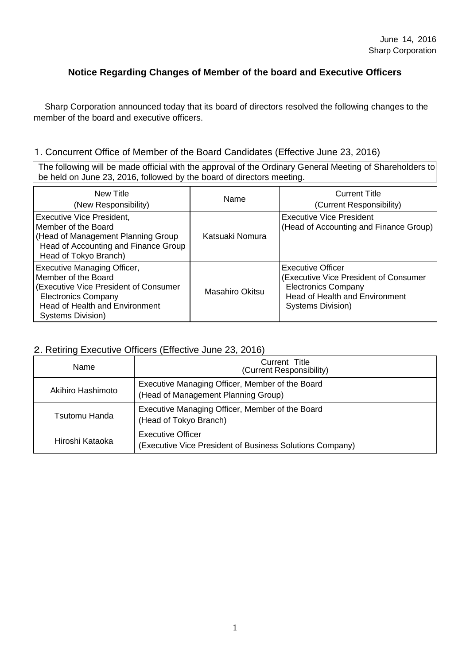### **Notice Regarding Changes of Member of the board and Executive Officers**

Sharp Corporation announced today that its board of directors resolved the following changes to the member of the board and executive officers.

#### 1. Concurrent Office of Member of the Board Candidates (Effective June 23, 2016)

The following will be made official with the approval of the Ordinary General Meeting of Shareholders to be held on June 23, 2016, followed by the board of directors meeting.

| New Title<br>(New Responsibility)                                                                                                                                                       | Name            | <b>Current Title</b><br>(Current Responsibility)                                                                                                              |
|-----------------------------------------------------------------------------------------------------------------------------------------------------------------------------------------|-----------------|---------------------------------------------------------------------------------------------------------------------------------------------------------------|
| <b>Executive Vice President,</b><br>Member of the Board<br>(Head of Management Planning Group<br>Head of Accounting and Finance Group<br>Head of Tokyo Branch)                          | Katsuaki Nomura | <b>Executive Vice President</b><br>(Head of Accounting and Finance Group)                                                                                     |
| Executive Managing Officer,<br>Member of the Board<br>(Executive Vice President of Consumer<br><b>Electronics Company</b><br><b>Head of Health and Environment</b><br>Systems Division) | Masahiro Okitsu | <b>Executive Officer</b><br>(Executive Vice President of Consumer<br><b>Electronics Company</b><br><b>Head of Health and Environment</b><br>Systems Division) |

#### 2. Retiring Executive Officers (Effective June 23, 2016)

| Name              | Current Title<br>(Current Responsibility)                                              |  |
|-------------------|----------------------------------------------------------------------------------------|--|
| Akihiro Hashimoto | Executive Managing Officer, Member of the Board<br>(Head of Management Planning Group) |  |
| Tsutomu Handa     | Executive Managing Officer, Member of the Board<br>(Head of Tokyo Branch)              |  |
| Hiroshi Kataoka   | <b>Executive Officer</b><br>(Executive Vice President of Business Solutions Company)   |  |